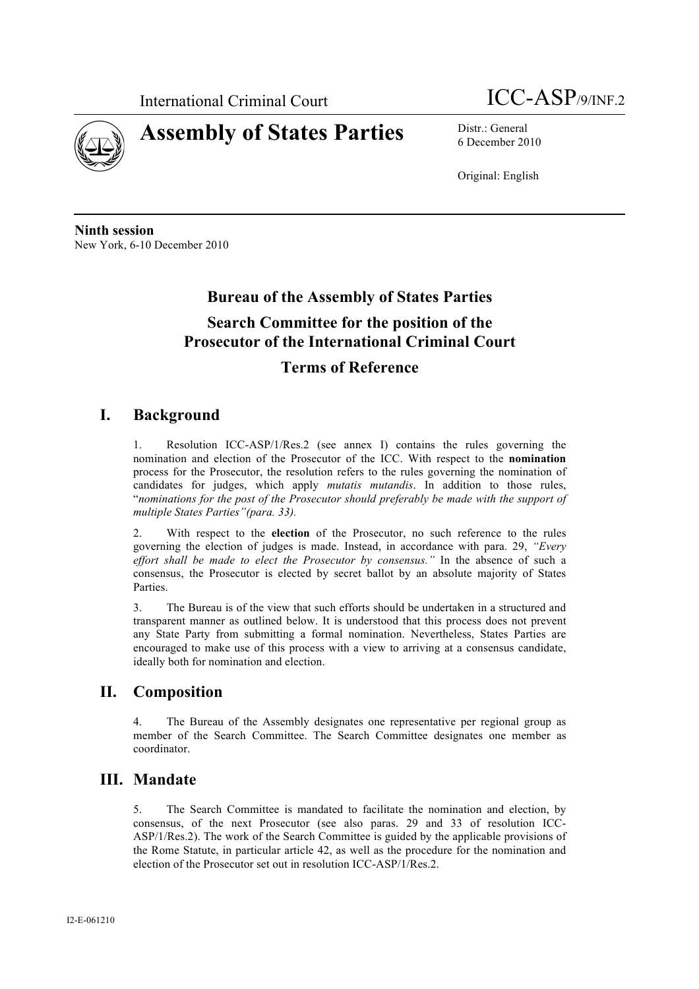

# **Assembly of States Parties** Distr.: General

International Criminal Court **ICC-ASP**/9/INF.2

6 December 2010

Original: English

**Ninth session** New York, 6-10 December 2010

## **Bureau of the Assembly of States Parties**

## **Search Committee for the position of the Prosecutor of the International Criminal Court**

## **Terms of Reference**

#### **I. Background**

1. Resolution ICC-ASP/1/Res.2 (see annex I) contains the rules governing the nomination and election of the Prosecutor of the ICC. With respect to the **nomination** process for the Prosecutor, the resolution refers to the rules governing the nomination of candidates for judges, which apply *mutatis mutandis*. In addition to those rules, "*nominations for the post of the Prosecutor should preferably be made with the support of multiple States Parties"(para. 33).* 

2. With respect to the **election** of the Prosecutor, no such reference to the rules governing the election of judges is made. Instead, in accordance with para. 29, *"Every effort shall be made to elect the Prosecutor by consensus."* In the absence of such a consensus, the Prosecutor is elected by secret ballot by an absolute majority of States Parties.

3. The Bureau is of the view that such efforts should be undertaken in a structured and transparent manner as outlined below. It is understood that this process does not prevent any State Party from submitting a formal nomination. Nevertheless, States Parties are encouraged to make use of this process with a view to arriving at a consensus candidate, ideally both for nomination and election.

#### **II. Composition**

4. The Bureau of the Assembly designates one representative per regional group as member of the Search Committee. The Search Committee designates one member as coordinator.

## **III. Mandate**

5. The Search Committee is mandated to facilitate the nomination and election, by consensus, of the next Prosecutor (see also paras. 29 and 33 of resolution ICC-ASP/1/Res.2). The work of the Search Committee is guided by the applicable provisions of the Rome Statute, in particular article 42, as well as the procedure for the nomination and election of the Prosecutor set out in resolution ICC-ASP/1/Res.2.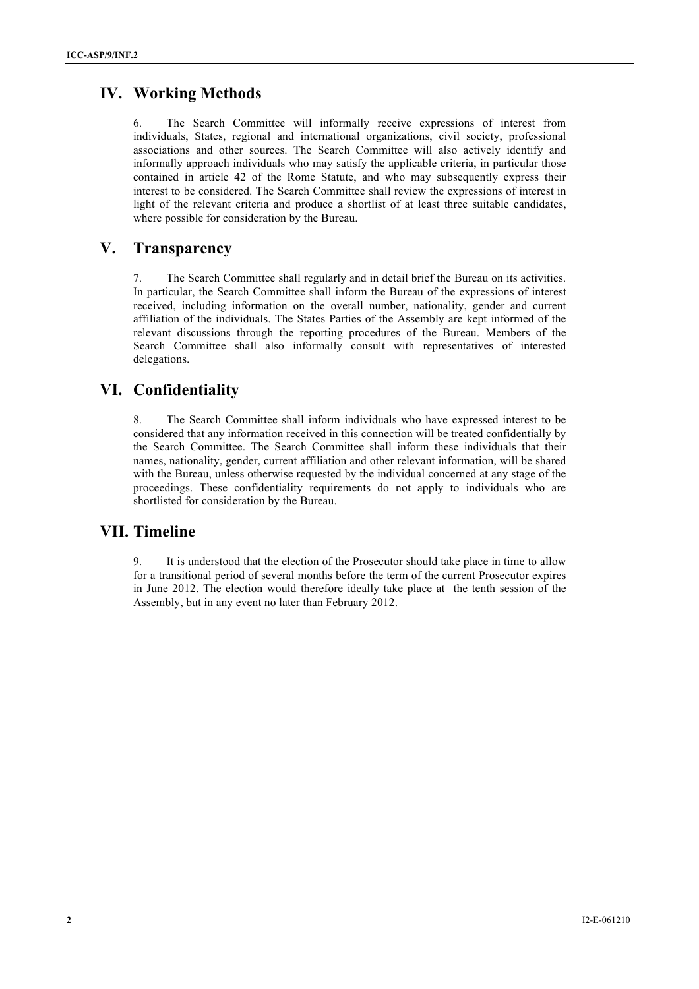## **IV. Working Methods**

6. The Search Committee will informally receive expressions of interest from individuals, States, regional and international organizations, civil society, professional associations and other sources. The Search Committee will also actively identify and informally approach individuals who may satisfy the applicable criteria, in particular those contained in article 42 of the Rome Statute, and who may subsequently express their interest to be considered. The Search Committee shall review the expressions of interest in light of the relevant criteria and produce a shortlist of at least three suitable candidates, where possible for consideration by the Bureau.

#### **V. Transparency**

7. The Search Committee shall regularly and in detail brief the Bureau on its activities. In particular, the Search Committee shall inform the Bureau of the expressions of interest received, including information on the overall number, nationality, gender and current affiliation of the individuals. The States Parties of the Assembly are kept informed of the relevant discussions through the reporting procedures of the Bureau. Members of the Search Committee shall also informally consult with representatives of interested delegations.

## **VI. Confidentiality**

8. The Search Committee shall inform individuals who have expressed interest to be considered that any information received in this connection will be treated confidentially by the Search Committee. The Search Committee shall inform these individuals that their names, nationality, gender, current affiliation and other relevant information, will be shared with the Bureau, unless otherwise requested by the individual concerned at any stage of the proceedings. These confidentiality requirements do not apply to individuals who are shortlisted for consideration by the Bureau.

#### **VII. Timeline**

9. It is understood that the election of the Prosecutor should take place in time to allow for a transitional period of several months before the term of the current Prosecutor expires in June 2012. The election would therefore ideally take place at the tenth session of the Assembly, but in any event no later than February 2012.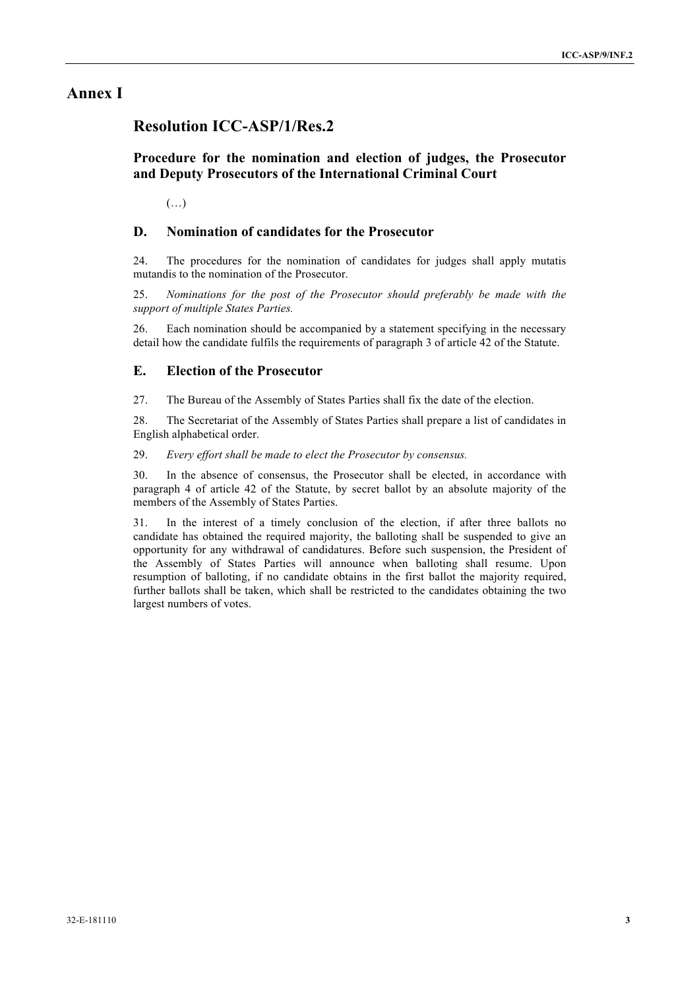#### **Annex I**

#### **Resolution ICC-ASP/1/Res.2**

#### **Procedure for the nomination and election of judges, the Prosecutor and Deputy Prosecutors of the International Criminal Court**

(…)

#### **D. Nomination of candidates for the Prosecutor**

24. The procedures for the nomination of candidates for judges shall apply mutatis mutandis to the nomination of the Prosecutor.

25. *Nominations for the post of the Prosecutor should preferably be made with the support of multiple States Parties.*

26. Each nomination should be accompanied by a statement specifying in the necessary detail how the candidate fulfils the requirements of paragraph 3 of article 42 of the Statute.

#### **E. Election of the Prosecutor**

27. The Bureau of the Assembly of States Parties shall fix the date of the election.

28. The Secretariat of the Assembly of States Parties shall prepare a list of candidates in English alphabetical order.

#### 29. *Every effort shall be made to elect the Prosecutor by consensus.*

30. In the absence of consensus, the Prosecutor shall be elected, in accordance with paragraph 4 of article 42 of the Statute, by secret ballot by an absolute majority of the members of the Assembly of States Parties.

31. In the interest of a timely conclusion of the election, if after three ballots no candidate has obtained the required majority, the balloting shall be suspended to give an opportunity for any withdrawal of candidatures. Before such suspension, the President of the Assembly of States Parties will announce when balloting shall resume. Upon resumption of balloting, if no candidate obtains in the first ballot the majority required, further ballots shall be taken, which shall be restricted to the candidates obtaining the two largest numbers of votes.